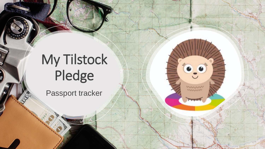## My Tilstock Pledge

 $\bullet$   $\bullet$ 

mm

VIII)

E

Passport tracker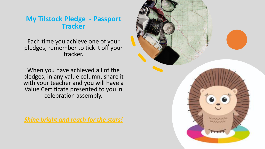## **My Tilstock Pledge - Passport Tracker**

Each time you achieve one of your pledges, remember to tick it off your tracker.

When you have achieved all of the pledges, in any value column, share it with your teacher and you will have a Value Certificate presented to you in celebration assembly.

*Shine bright and reach for the stars!* 

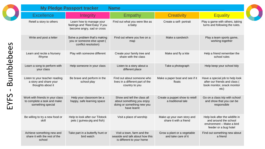| <b>My Pledge Passport tracker</b><br><b>Name</b>                                    |                                                                                           |                                                                                                       |                                                      |                                                                                                                |  |  |
|-------------------------------------------------------------------------------------|-------------------------------------------------------------------------------------------|-------------------------------------------------------------------------------------------------------|------------------------------------------------------|----------------------------------------------------------------------------------------------------------------|--|--|
| <b>Excellence</b>                                                                   | <b>Integrity</b>                                                                          | Empathy                                                                                               | <b>Creativity</b>                                    | <b>Equality</b>                                                                                                |  |  |
| Retell a story to others                                                            | Learn how to manage your<br>feelings and 'Rest Easy' if you<br>become angry, sad or cross | Find out what you were like as<br>a baby                                                              | Create a self- portrait                              | Play a game with others, taking<br>turns and following the rules.                                              |  |  |
| Write and post a letter                                                             | Solve a problem that's making<br>you or someone else upset (<br>conflict resolution)      | Find out where you live on a<br>map                                                                   | Make a sandwich                                      | Play a team sports game,<br>working together                                                                   |  |  |
| Learn and recite a Nursery<br>Rhyme                                                 | Play with someone different                                                               | Create your family tree and<br>share with the class                                                   | Make and fly a kite                                  | Help a friend remember the<br>school rules                                                                     |  |  |
| Learn a song to perform with<br>your class                                          | Help someone in your class                                                                | Listen to a story about a<br>different place                                                          | Take a photograph                                    | Help keep your school tidy                                                                                     |  |  |
| Listen to your teacher reading<br>a story and share your<br>thoughts about it       | Be brave and perform in the<br>school play                                                | Find out about someone who<br>lives in a different part of the<br>country to you                      | Make a paper boat and see if it<br>floats            | Have a special job to help look<br>after our friends and class (<br>book monitor, snack monitor<br>etc)        |  |  |
| Work with friends in your class<br>to complete a task and make<br>something special | Help your classroom be a<br>happy, safe learning space                                    | Show and tell the class all<br>about something you enjoy<br>doing or something new you<br>have learnt | Create a puppet show to retell<br>a traditional tale | Go on a class trip with school<br>and show that you can be<br>responsible                                      |  |  |
| Be willing to try a new food or<br>skill                                            | Help to look after our Tilstock<br>pets (guinea-pig and fish)                             | Visit a place of worship                                                                              | Make up your own story and<br>share it with a friend | Help look after the wildlife in<br>and around the school<br>environment - Make a bird<br>feeder or a bug hotel |  |  |
| Achieve something new and<br>share it with the rest of the<br>school                | Take part in a butterfly hunt or<br>bird watch                                            | Visit a town, farm and the<br>seaside and talk about how this<br>is different to your home            | Grow a plant or a vegetable<br>and take care of it   | Find out something new about<br>a friend                                                                       |  |  |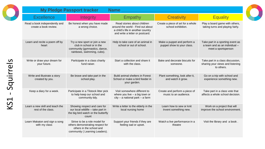| <b>My Pledge Passport tracker</b><br><b>Name</b>       |                                                                                                                                |                                                                                                                                          |                                                           |                                                                                          |  |  |  |
|--------------------------------------------------------|--------------------------------------------------------------------------------------------------------------------------------|------------------------------------------------------------------------------------------------------------------------------------------|-----------------------------------------------------------|------------------------------------------------------------------------------------------|--|--|--|
| <b>Excellence</b>                                      | <b>Integrity</b>                                                                                                               | Empathy                                                                                                                                  | <b>Creativity</b>                                         | <b>Equality</b>                                                                          |  |  |  |
| Read a book independently and<br>create a book review. | Be honest when you have made<br>a wrong choice.                                                                                | Read stories about children<br>around the world - Find out about<br>a child's life in another country<br>and write a letter or postcard. | Create a piece of art for a whole<br>school exhibition.   | Play a board game with others,<br>taking turns and playing fairly.                       |  |  |  |
| Learn and recite a poem off by<br>heart                | Try a new sport or join a new<br>club in school or in the<br>community (gymnastics, dance,<br>rainbows, swimming, cubs).       | Help to take care of an animal in<br>school or out of school.                                                                            | Make a puppet and perform a<br>puppet show to your class. | Take part in a sporting event as<br>a team and as an individual -<br>meet a sportsperson |  |  |  |
| Write or draw your dream for<br>your future.           | Participate in a class charity<br>fund raiser.                                                                                 | Start a collection and share it<br>with the class.                                                                                       | Bake and decorate biscuits for<br>someone.                | Take part in a class discussion,<br>sharing your views and listening<br>to others.       |  |  |  |
| Write and illustrate a story<br>created by you.        | Be brave and take part in the<br>school play.                                                                                  | Build animal shelters in Forest<br>School or make a bird feeder in<br>your garden.                                                       | Plant something, look after it,<br>and watch it grow.     | Go on a trip with school and<br>experience something new.                                |  |  |  |
| Keep a diary for a week.                               | Participate in a Tilstock litter pick<br>to help keep our school and<br>community tidy.                                        | Visit somewhere different to<br>where you live $-$ a big town or<br>$city - a$ national park $- a$ farm                                  | Create and perform a piece of<br>music to an audience.    | Take part in a class vote that<br>affects a whole school decision.                       |  |  |  |
| Learn a new skill and teach the<br>rest of the class.  | Showing respect and care for<br>our local wildlife - take part in<br>the big bird watch or the butterfly<br>count              | Write a letter to the elderly in the<br>local nursing home                                                                               | Learn how to sew or knit<br>Invent something new.         | Work on a project that will<br>improve the school environment.                           |  |  |  |
| Learn Makaton and sign a song<br>with my class         | Strive to be a role model for<br>others demonstrating respect for<br>others in the school and<br>community (Learning Leaders). | Support your friends if they are<br>feeling sad or upset.                                                                                | Watch a live performance in a<br>theatre                  | Visit the library and a book.                                                            |  |  |  |

KS1

- Squirrels